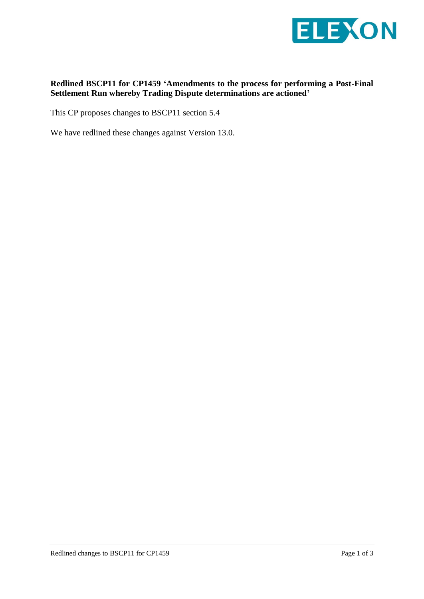

## **Redlined BSCP11 for CP1459 'Amendments to the process for performing a Post-Final Settlement Run whereby Trading Dispute determinations are actioned'**

This CP proposes changes to BSCP11 section 5.4

We have redlined these changes against Version 13.0.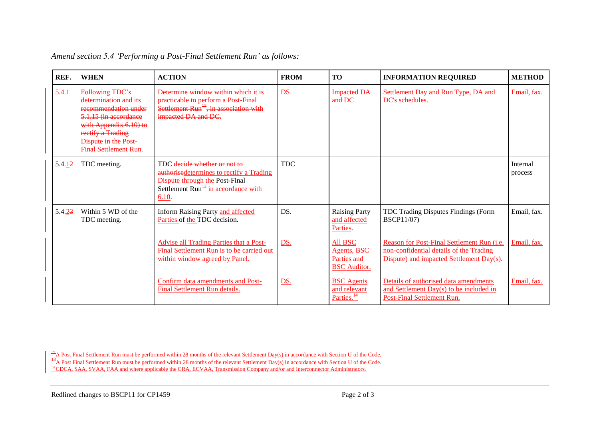| REF.   | <b>WHEN</b>                                                                                                                                                                                      | <b>ACTION</b>                                                                                                                                                 | <b>FROM</b> | <b>TO</b>                                                    | <b>INFORMATION REQUIRED</b>                                                                                                       | <b>METHOD</b>       |
|--------|--------------------------------------------------------------------------------------------------------------------------------------------------------------------------------------------------|---------------------------------------------------------------------------------------------------------------------------------------------------------------|-------------|--------------------------------------------------------------|-----------------------------------------------------------------------------------------------------------------------------------|---------------------|
| 5.4.1  | Following TDC's<br>determination and its<br>recommendation under<br>5.1.15 (in accordance<br>with Appendix 6.10) to<br>rectify a Trading<br>Dispute in the Post-<br><b>Final Settlement Run.</b> | Determine window within which it is<br>practicable to perform a Post Final<br>Settlement $Run^{\frac{12}{3}}$ , in association with<br>impacted DA and DC.    | <b>DS</b>   | <b>Impacted DA</b><br>$and$ DC                               | Settlement Day and Run Type, DA and<br><b>DC's schedules.</b>                                                                     | Email, fax.         |
| 5.4.12 | TDC meeting.                                                                                                                                                                                     | TDC decide whether or not to<br>authorised etermines to rectify a Trading<br>Dispute through the Post-Final<br>Settlement $Run13$ in accordance with<br>6.10. | <b>TDC</b>  |                                                              |                                                                                                                                   | Internal<br>process |
| 5.4.23 | Within 5 WD of the<br>TDC meeting.                                                                                                                                                               | Inform Raising Party and affected<br>Parties of the TDC decision.                                                                                             | DS.         | <b>Raising Party</b><br>and affected<br>Parties              | TDC Trading Disputes Findings (Form<br><b>BSCP11/07)</b>                                                                          | Email. fax.         |
|        |                                                                                                                                                                                                  | <b>Advise all Trading Parties that a Post-</b><br>Final Settlement Run is to be carried out<br>within window agreed by Panel.                                 | DS.         | All BSC<br>Agents, BSC<br>Parties and<br><b>BSC</b> Auditor. | Reason for Post-Final Settlement Run (i.e.<br>non-confidential details of the Trading<br>Dispute) and impacted Settlement Day(s). | Email. fax.         |
|        |                                                                                                                                                                                                  | Confirm data amendments and Post-<br>Final Settlement Run details.                                                                                            | <u>DS.</u>  | <b>BSC</b> Agents<br>and relevant<br>Parties. <sup>14</sup>  | Details of authorised data amendments<br>and Settlement Day(s) to be included in<br><b>Post-Final Settlement Run.</b>             | Email. fax.         |

|  |  | Amend section 5.4 'Performing a Post-Final Settlement Run' as follows: |  |
|--|--|------------------------------------------------------------------------|--|
|--|--|------------------------------------------------------------------------|--|

 $\overline{a}$ 

 $12$  A Post Final Settlement Run must be performed within 28 months of the relevant Settlement Day(s) in accordance with Section U of the Code. <sup>13</sup>A Post Final Settlement Run must be performed within 28 months of the relevant Settlement Day(s) in accordance with Section U of the Code.

<sup>&</sup>lt;sup>14</sup> CDCA, SAA, SVAA, FAA and where applicable the CRA, ECVAA, Transmission Company and/or and Interconnector Administrators.